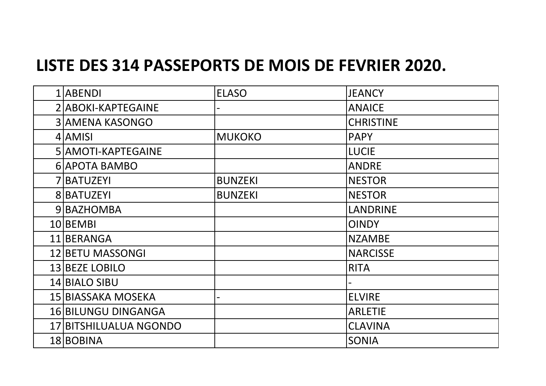## **LISTE DES 314 PASSEPORTS DE MOIS DE FEVRIER 2020.**

| 1 ABENDI                   | <b>ELASO</b>   | <b>JEANCY</b>    |
|----------------------------|----------------|------------------|
| 2 ABOKI-KAPTEGAINE         |                | <b>ANAICE</b>    |
| <b>3 AMENA KASONGO</b>     |                | <b>CHRISTINE</b> |
| 4 AMISI                    | <b>MUKOKO</b>  | <b>PAPY</b>      |
| 5 AMOTI-KAPTEGAINE         |                | <b>LUCIE</b>     |
| 6 APOTA BAMBO              |                | <b>ANDRE</b>     |
| 7 BATUZEYI                 | <b>BUNZEKI</b> | <b>NESTOR</b>    |
| 8 BATUZEYI                 | <b>BUNZEKI</b> | <b>NESTOR</b>    |
| 9 BAZHOMBA                 |                | <b>LANDRINE</b>  |
| 10 BEMBI                   |                | <b>OINDY</b>     |
| 11 BERANGA                 |                | <b>NZAMBE</b>    |
| 12 BETU MASSONGI           |                | <b>NARCISSE</b>  |
| 13 BEZE LOBILO             |                | <b>RITA</b>      |
| 14 BIALO SIBU              |                |                  |
| 15 BIASSAKA MOSEKA         |                | <b>ELVIRE</b>    |
| <b>16 BILUNGU DINGANGA</b> |                | <b>ARLETIE</b>   |
| 17 BITSHILUALUA NGONDO     |                | <b>CLAVINA</b>   |
| 18 BOBINA                  |                | <b>SONIA</b>     |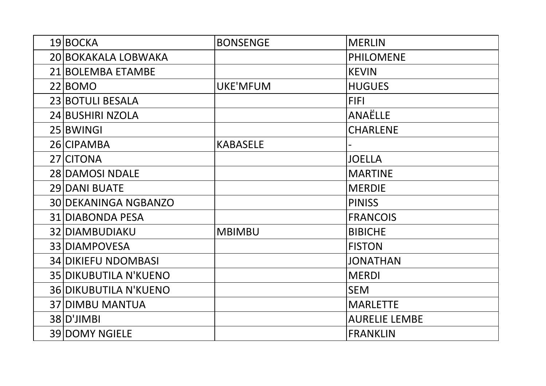| 19 BOCKA                     | <b>BONSENGE</b> | <b>MERLIN</b>        |
|------------------------------|-----------------|----------------------|
| 20 BOKAKALA LOBWAKA          |                 | <b>PHILOMENE</b>     |
| 21 BOLEMBA ETAMBE            |                 | <b>KEVIN</b>         |
| 22 BOMO                      | <b>UKE'MFUM</b> | <b>HUGUES</b>        |
| 23 BOTULI BESALA             |                 | <b>FIFI</b>          |
| 24 BUSHIRI NZOLA             |                 | <b>ANAËLLE</b>       |
| 25 BWINGI                    |                 | <b>CHARLENE</b>      |
| 26 CIPAMBA                   | <b>KABASELE</b> |                      |
| 27 CITONA                    |                 | <b>JOELLA</b>        |
| 28 DAMOSI NDALE              |                 | <b>MARTINE</b>       |
| 29 DANI BUATE                |                 | <b>MERDIE</b>        |
| 30 DEKANINGA NGBANZO         |                 | <b>PINISS</b>        |
| 31 DIABONDA PESA             |                 | <b>FRANCOIS</b>      |
| 32 DIAMBUDIAKU               | <b>MBIMBU</b>   | <b>BIBICHE</b>       |
| 33 DIAMPOVESA                |                 | <b>FISTON</b>        |
| <b>34 DIKIEFU NDOMBASI</b>   |                 | <b>JONATHAN</b>      |
| <b>35 DIKUBUTILA N'KUENO</b> |                 | <b>MERDI</b>         |
| <b>36 DIKUBUTILA N'KUENO</b> |                 | <b>SEM</b>           |
| <b>37 DIMBU MANTUA</b>       |                 | <b>MARLETTE</b>      |
| 38 D'JIMBI                   |                 | <b>AURELIE LEMBE</b> |
| <b>39 DOMY NGIELE</b>        |                 | <b>FRANKLIN</b>      |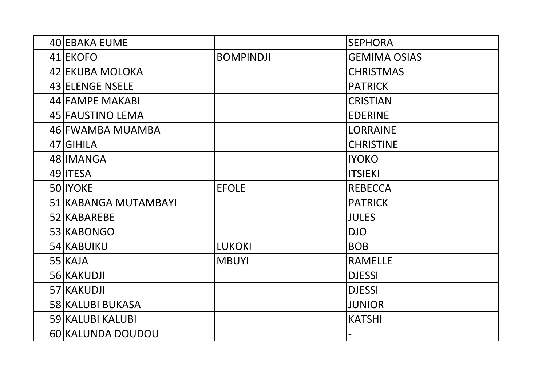| 40 EBAKA EUME        |                  | <b>SEPHORA</b>      |
|----------------------|------------------|---------------------|
| 41 EKOFO             | <b>BOMPINDJI</b> | <b>GEMIMA OSIAS</b> |
| 42 EKUBA MOLOKA      |                  | <b>CHRISTMAS</b>    |
| 43 ELENGE NSELE      |                  | <b>PATRICK</b>      |
| 44 FAMPE MAKABI      |                  | <b>CRISTIAN</b>     |
| 45 FAUSTINO LEMA     |                  | <b>EDERINE</b>      |
| 46 FWAMBA MUAMBA     |                  | <b>LORRAINE</b>     |
| 47 GIHILA            |                  | <b>CHRISTINE</b>    |
| 48 IMANGA            |                  | <b>IYOKO</b>        |
| 49 <b>ITESA</b>      |                  | <b>ITSIEKI</b>      |
| 50 IYOKE             | <b>EFOLE</b>     | <b>REBECCA</b>      |
| 51 KABANGA MUTAMBAYI |                  | <b>PATRICK</b>      |
| 52 KABAREBE          |                  | <b>JULES</b>        |
| 53 KABONGO           |                  | <b>DJO</b>          |
| 54 KABUIKU           | <b>LUKOKI</b>    | <b>BOB</b>          |
| $55$ KAJA            | <b>MBUYI</b>     | <b>RAMELLE</b>      |
| 56 KAKUDJI           |                  | <b>DJESSI</b>       |
| 57 KAKUDJI           |                  | <b>DJESSI</b>       |
| 58 KALUBI BUKASA     |                  | <b>JUNIOR</b>       |
| 59 KALUBI KALUBI     |                  | <b>KATSHI</b>       |
| 60 KALUNDA DOUDOU    |                  |                     |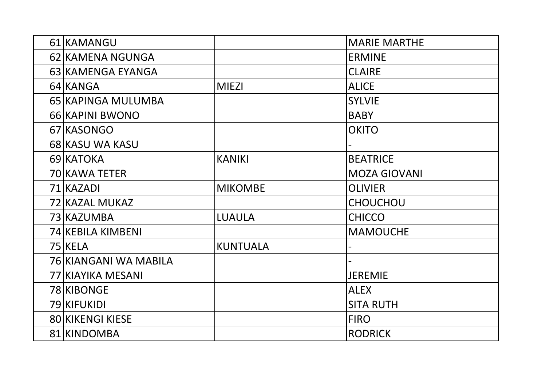| 61 KAMANGU              |                 | <b>MARIE MARTHE</b> |
|-------------------------|-----------------|---------------------|
| 62 KAMENA NGUNGA        |                 | <b>ERMINE</b>       |
| 63 KAMENGA EYANGA       |                 | <b>CLAIRE</b>       |
| 64 KANGA                | <b>MIEZI</b>    | <b>ALICE</b>        |
| 65 KAPINGA MULUMBA      |                 | <b>SYLVIE</b>       |
| 66 KAPINI BWONO         |                 | <b>BABY</b>         |
| 67 KASONGO              |                 | <b>OKITO</b>        |
| 68 KASU WA KASU         |                 |                     |
| 69 KATOKA               | <b>KANIKI</b>   | <b>BEATRICE</b>     |
| 70 KAWA TETER           |                 | <b>MOZA GIOVANI</b> |
| 71 KAZADI               | <b>MIKOMBE</b>  | <b>OLIVIER</b>      |
| 72 KAZAL MUKAZ          |                 | CHOUCHOU            |
| 73 KAZUMBA              | <b>LUAULA</b>   | <b>CHICCO</b>       |
| 74 KEBILA KIMBENI       |                 | <b>MAMOUCHE</b>     |
| 75 KELA                 | <b>KUNTUALA</b> |                     |
| 76 KIANGANI WA MABILA   |                 |                     |
| 77 KIAYIKA MESANI       |                 | <b>JEREMIE</b>      |
| 78 KIBONGE              |                 | <b>ALEX</b>         |
| 79 KIFUKIDI             |                 | <b>SITA RUTH</b>    |
| <b>80 KIKENGI KIESE</b> |                 | <b>FIRO</b>         |
| 81 KINDOMBA             |                 | <b>RODRICK</b>      |
|                         |                 |                     |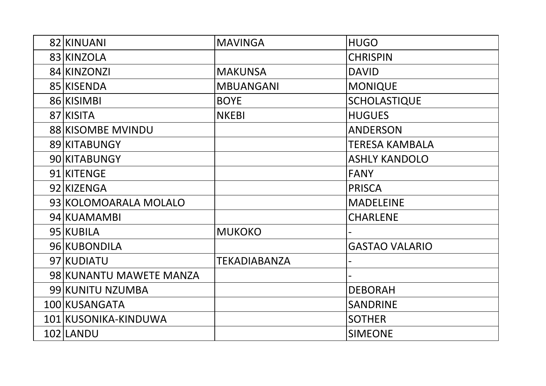| 82 KINUANI              | <b>MAVINGA</b>      | <b>HUGO</b>           |
|-------------------------|---------------------|-----------------------|
| 83 KINZOLA              |                     | <b>CHRISPIN</b>       |
| 84 KINZONZI             | <b>MAKUNSA</b>      | <b>DAVID</b>          |
| 85 KISENDA              | <b>MBUANGANI</b>    | <b>MONIQUE</b>        |
| 86 KISIMBI              | <b>BOYE</b>         | <b>SCHOLASTIQUE</b>   |
| 87 KISITA               | <b>NKEBI</b>        | <b>HUGUES</b>         |
| 88 KISOMBE MVINDU       |                     | <b>ANDERSON</b>       |
| 89 KITABUNGY            |                     | <b>TERESA KAMBALA</b> |
| 90 KITABUNGY            |                     | <b>ASHLY KANDOLO</b>  |
| 91 KITENGE              |                     | <b>FANY</b>           |
| 92 KIZENGA              |                     | <b>PRISCA</b>         |
| 93 KOLOMOARALA MOLALO   |                     | <b>MADELEINE</b>      |
| 94 KUAMAMBI             |                     | <b>CHARLENE</b>       |
| 95 KUBILA               | <b>MUKOKO</b>       |                       |
| 96 KUBONDILA            |                     | <b>GASTAO VALARIO</b> |
| 97 KUDIATU              | <b>TEKADIABANZA</b> |                       |
| 98 KUNANTU MAWETE MANZA |                     |                       |
| 99 KUNITU NZUMBA        |                     | <b>DEBORAH</b>        |
| 100 KUSANGATA           |                     | <b>SANDRINE</b>       |
| 101 KUSONIKA-KINDUWA    |                     | <b>SOTHER</b>         |
| 102 LANDU               |                     | <b>SIMEONE</b>        |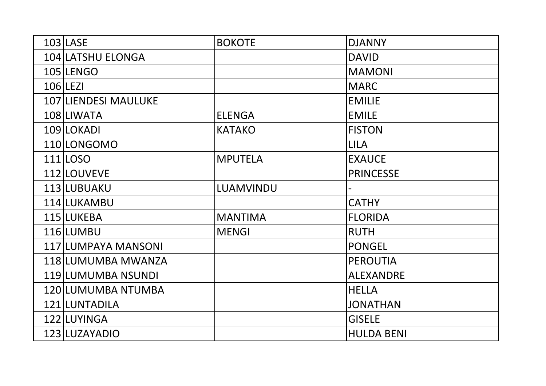| 103 LASE                    | <b>BOKOTE</b>  | <b>DJANNY</b>     |
|-----------------------------|----------------|-------------------|
| 104 LATSHU ELONGA           |                | <b>DAVID</b>      |
| 105 LENGO                   |                | <b>MAMONI</b>     |
| $106$  LEZI                 |                | <b>MARC</b>       |
| <b>107 LIENDESI MAULUKE</b> |                | <b>EMILIE</b>     |
| 108 LIWATA                  | <b>ELENGA</b>  | <b>EMILE</b>      |
| 109 LOKADI                  | <b>KATAKO</b>  | <b>FISTON</b>     |
| 110 LONGOMO                 |                | <b>LILA</b>       |
| 111 LOSO                    | <b>MPUTELA</b> | <b>EXAUCE</b>     |
| 112 LOUVEVE                 |                | <b>PRINCESSE</b>  |
| 113 LUBUAKU                 | LUAMVINDU      |                   |
| 114 LUKAMBU                 |                | <b>CATHY</b>      |
| 115 LUKEBA                  | <b>MANTIMA</b> | <b>FLORIDA</b>    |
| 116 LUMBU                   | <b>MENGI</b>   | <b>RUTH</b>       |
| 117 LUMPAYA MANSONI         |                | <b>PONGEL</b>     |
| 118 LUMUMBA MWANZA          |                | <b>PEROUTIA</b>   |
| 119 LUMUMBA NSUNDI          |                | <b>ALEXANDRE</b>  |
| 120 LUMUMBA NTUMBA          |                | <b>HELLA</b>      |
| 121 LUNTADILA               |                | <b>JONATHAN</b>   |
| 122 LUYINGA                 |                | <b>GISELE</b>     |
| 123 LUZAYADIO               |                | <b>HULDA BENI</b> |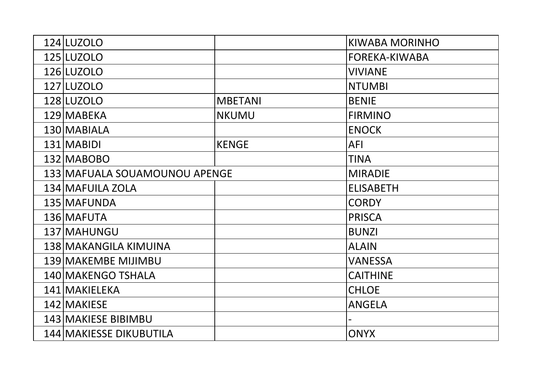| 124 LUZOLO                    |                | KIWABA MORINHO       |
|-------------------------------|----------------|----------------------|
| 125 LUZOLO                    |                | <b>FOREKA-KIWABA</b> |
| 126 LUZOLO                    |                | <b>VIVIANE</b>       |
| 127 LUZOLO                    |                | <b>NTUMBI</b>        |
| 128 LUZOLO                    | <b>MBETANI</b> | <b>BENIE</b>         |
| 129 MABEKA                    | <b>NKUMU</b>   | <b>FIRMINO</b>       |
| 130 MABIALA                   |                | <b>ENOCK</b>         |
| 131 MABIDI                    | <b>KENGE</b>   | AFI                  |
| 132 MABOBO                    |                | <b>TINA</b>          |
| 133 MAFUALA SOUAMOUNOU APENGE |                | <b>MIRADIE</b>       |
| 134 MAFUILA ZOLA              |                | <b>ELISABETH</b>     |
| 135 MAFUNDA                   |                | <b>CORDY</b>         |
| 136 MAFUTA                    |                | <b>PRISCA</b>        |
| 137 MAHUNGU                   |                | <b>BUNZI</b>         |
| 138 MAKANGILA KIMUINA         |                | <b>ALAIN</b>         |
| 139 MAKEMBE MIJIMBU           |                | <b>VANESSA</b>       |
| 140 MAKENGO TSHALA            |                | <b>CAITHINE</b>      |
| 141 MAKIELEKA                 |                | <b>CHLOE</b>         |
| 142 MAKIESE                   |                | <b>ANGELA</b>        |
| 143 MAKIESE BIBIMBU           |                |                      |
| 144 MAKIESSE DIKUBUTILA       |                | <b>ONYX</b>          |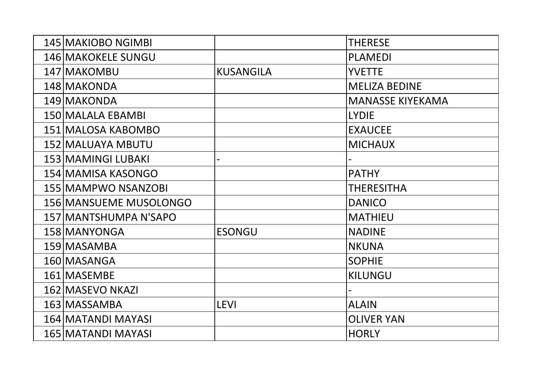| 145 MAKIOBO NGIMBI        |                  | <b>THERESE</b>          |
|---------------------------|------------------|-------------------------|
| <b>146 MAKOKELE SUNGU</b> |                  | <b>PLAMEDI</b>          |
| 147 MAKOMBU               | <b>KUSANGILA</b> | <b>YVETTE</b>           |
| 148 MAKONDA               |                  | <b>MELIZA BEDINE</b>    |
| 149 MAKONDA               |                  | <b>MANASSE KIYEKAMA</b> |
| 150 MALALA EBAMBI         |                  | <b>LYDIE</b>            |
| 151 MALOSA KABOMBO        |                  | <b>EXAUCEE</b>          |
| 152 MALUAYA MBUTU         |                  | <b>MICHAUX</b>          |
| 153 MAMINGI LUBAKI        |                  |                         |
| 154 MAMISA KASONGO        |                  | <b>PATHY</b>            |
| 155 MAMPWO NSANZOBI       |                  | <b>THERESITHA</b>       |
| 156 MANSUEME MUSOLONGO    |                  | <b>DANICO</b>           |
| 157 MANTSHUMPA N'SAPO     |                  | <b>MATHIEU</b>          |
| 158 MANYONGA              | <b>ESONGU</b>    | <b>NADINE</b>           |
| 159 MASAMBA               |                  | <b>NKUNA</b>            |
| 160 MASANGA               |                  | <b>SOPHIE</b>           |
| 161 MASEMBE               |                  | <b>KILUNGU</b>          |
| 162 MASEVO NKAZI          |                  |                         |
| 163 MASSAMBA              | <b>LEVI</b>      | <b>ALAIN</b>            |
| 164 MATANDI MAYASI        |                  | <b>OLIVER YAN</b>       |
| 165 MATANDI MAYASI        |                  | <b>HORLY</b>            |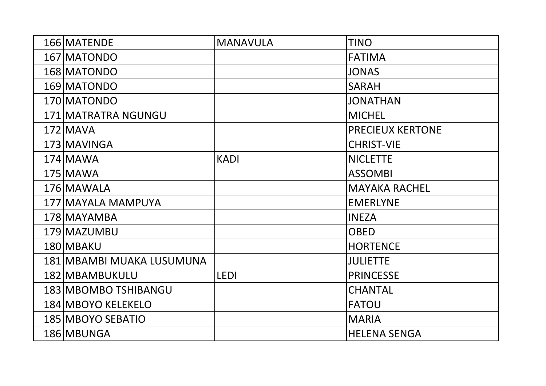| 166 MATENDE               | <b>MANAVULA</b> | <b>TINO</b>             |
|---------------------------|-----------------|-------------------------|
| 167 MATONDO               |                 | <b>FATIMA</b>           |
| 168 MATONDO               |                 | <b>JONAS</b>            |
| 169 MATONDO               |                 | <b>SARAH</b>            |
| 170 MATONDO               |                 | <b>JONATHAN</b>         |
| 171 MATRATRA NGUNGU       |                 | <b>MICHEL</b>           |
| $172$ MAVA                |                 | <b>PRECIEUX KERTONE</b> |
| 173 MAVINGA               |                 | <b>CHRIST-VIE</b>       |
| 174 MAWA                  | <b>KADI</b>     | <b>NICLETTE</b>         |
| 175 MAWA                  |                 | <b>ASSOMBI</b>          |
| 176 MAWALA                |                 | <b>MAYAKA RACHEL</b>    |
| 177 MAYALA MAMPUYA        |                 | <b>EMERLYNE</b>         |
| 178 MAYAMBA               |                 | <b>INEZA</b>            |
| 179 MAZUMBU               |                 | <b>OBED</b>             |
| 180 MBAKU                 |                 | <b>HORTENCE</b>         |
| 181 MBAMBI MUAKA LUSUMUNA |                 | <b>JULIETTE</b>         |
| 182 MBAMBUKULU            | <b>LEDI</b>     | <b>PRINCESSE</b>        |
| 183 MBOMBO TSHIBANGU      |                 | <b>CHANTAL</b>          |
| 184 MBOYO KELEKELO        |                 | FATOU                   |
| 185 MBOYO SEBATIO         |                 | <b>MARIA</b>            |
| 186 MBUNGA                |                 | <b>HELENA SENGA</b>     |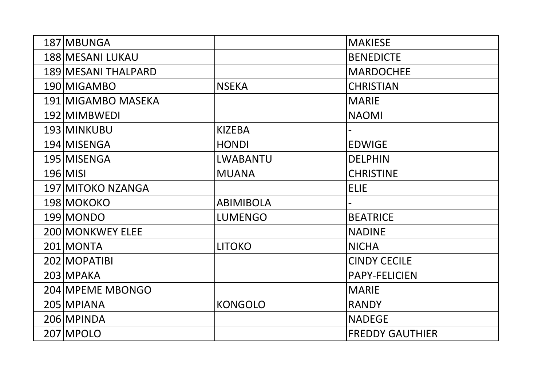| 187 MBUNGA          |                  | <b>MAKIESE</b>         |
|---------------------|------------------|------------------------|
| 188 MESANI LUKAU    |                  | <b>BENEDICTE</b>       |
| 189 MESANI THALPARD |                  | <b>MARDOCHEE</b>       |
| 190 MIGAMBO         | <b>NSEKA</b>     | <b>CHRISTIAN</b>       |
| 191 MIGAMBO MASEKA  |                  | <b>MARIE</b>           |
| 192 MIMBWEDI        |                  | <b>NAOMI</b>           |
| 193 MINKUBU         | <b>KIZEBA</b>    |                        |
| 194 MISENGA         | <b>HONDI</b>     | <b>EDWIGE</b>          |
| 195 MISENGA         | <b>LWABANTU</b>  | <b>DELPHIN</b>         |
| 196 MISI            | <b>MUANA</b>     | <b>CHRISTINE</b>       |
| 197 MITOKO NZANGA   |                  | <b>ELIE</b>            |
| 198 MOKOKO          | <b>ABIMIBOLA</b> |                        |
| 199 MONDO           | <b>LUMENGO</b>   | <b>BEATRICE</b>        |
| 200 MONKWEY ELEE    |                  | <b>NADINE</b>          |
| 201 MONTA           | <b>LITOKO</b>    | <b>NICHA</b>           |
| 202 MOPATIBI        |                  | <b>CINDY CECILE</b>    |
| 203 MPAKA           |                  | <b>PAPY-FELICIEN</b>   |
| 204 MPEME MBONGO    |                  | <b>MARIE</b>           |
| 205 MPIANA          | <b>KONGOLO</b>   | <b>RANDY</b>           |
| 206 MPINDA          |                  | <b>NADEGE</b>          |
| 207 MPOLO           |                  | <b>FREDDY GAUTHIER</b> |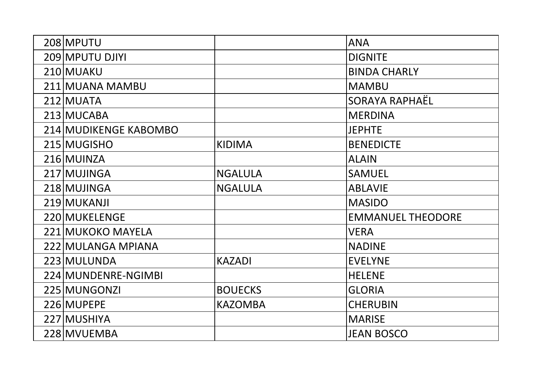| 208 MPUTU             |                | <b>ANA</b>               |
|-----------------------|----------------|--------------------------|
| 209 MPUTU DJIYI       |                | <b>DIGNITE</b>           |
| 210 MUAKU             |                | <b>BINDA CHARLY</b>      |
| 211 MUANA MAMBU       |                | <b>MAMBU</b>             |
| 212 MUATA             |                | SORAYA RAPHAËL           |
| 213 MUCABA            |                | <b>MERDINA</b>           |
| 214 MUDIKENGE KABOMBO |                | <b>JEPHTE</b>            |
| 215 MUGISHO           | <b>KIDIMA</b>  | <b>BENEDICTE</b>         |
| 216 MUINZA            |                | <b>ALAIN</b>             |
| 217 MUJINGA           | <b>NGALULA</b> | <b>SAMUEL</b>            |
| 218 MUJINGA           | <b>NGALULA</b> | <b>ABLAVIE</b>           |
| 219 MUKANJI           |                | <b>MASIDO</b>            |
| 220 MUKELENGE         |                | <b>EMMANUEL THEODORE</b> |
| 221 MUKOKO MAYELA     |                | <b>VERA</b>              |
| 222 MULANGA MPIANA    |                | <b>NADINE</b>            |
| 223 MULUNDA           | <b>KAZADI</b>  | <b>EVELYNE</b>           |
| 224 MUNDENRE-NGIMBI   |                | <b>HELENE</b>            |
| 225 MUNGONZI          | <b>BOUECKS</b> | <b>GLORIA</b>            |
| 226 MUPEPE            | <b>KAZOMBA</b> | <b>CHERUBIN</b>          |
| 227 MUSHIYA           |                | <b>MARISE</b>            |
| 228 MVUEMBA           |                | <b>JEAN BOSCO</b>        |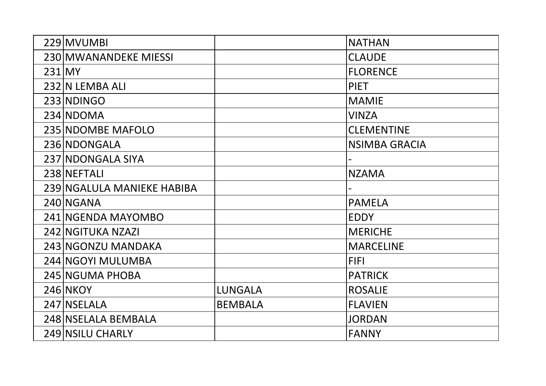| 229 MVUMBI                 |                | <b>NATHAN</b>        |
|----------------------------|----------------|----------------------|
| 230 MWANANDEKE MIESSI      |                | <b>CLAUDE</b>        |
| 231 MY                     |                | <b>FLORENCE</b>      |
| 232 N LEMBA ALI            |                | <b>PIET</b>          |
| 233 NDINGO                 |                | <b>MAMIE</b>         |
|                            |                |                      |
| 234 NDOMA                  |                | <b>VINZA</b>         |
| 235 NDOMBE MAFOLO          |                | <b>CLEMENTINE</b>    |
| 236 NDONGALA               |                | <b>NSIMBA GRACIA</b> |
| 237 NDONGALA SIYA          |                |                      |
| 238 NEFTALI                |                | <b>NZAMA</b>         |
| 239 NGALULA MANIEKE HABIBA |                |                      |
| 240 NGANA                  |                | <b>PAMELA</b>        |
| 241 NGENDA MAYOMBO         |                | <b>EDDY</b>          |
| 242 NGITUKA NZAZI          |                | <b>MERICHE</b>       |
| 243 NGONZU MANDAKA         |                | <b>MARCELINE</b>     |
| 244 NGOYI MULUMBA          |                | <b>FIFI</b>          |
| 245 NGUMA PHOBA            |                | <b>PATRICK</b>       |
| 246 NKOY                   | <b>LUNGALA</b> | <b>ROSALIE</b>       |
| 247 NSELALA                | <b>BEMBALA</b> | <b>FLAVIEN</b>       |
| 248 NSELALA BEMBALA        |                | <b>JORDAN</b>        |
| 249 NSILU CHARLY           |                | <b>FANNY</b>         |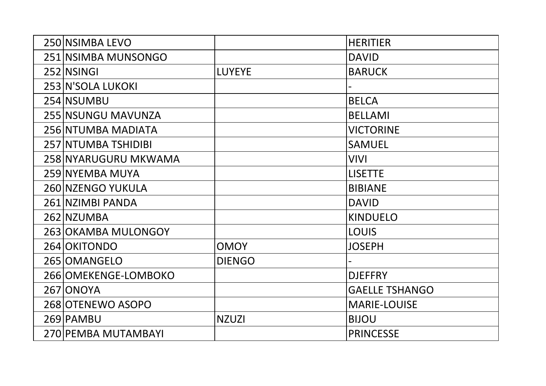| 250 NSIMBA LEVO      |               | <b>HERITIER</b>       |
|----------------------|---------------|-----------------------|
| 251 NSIMBA MUNSONGO  |               | <b>DAVID</b>          |
| 252 NSINGI           | <b>LUYEYE</b> | <b>BARUCK</b>         |
| 253 N'SOLA LUKOKI    |               |                       |
| 254 NSUMBU           |               | <b>BELCA</b>          |
| 255 NSUNGU MAVUNZA   |               | <b>BELLAMI</b>        |
| 256 NTUMBA MADIATA   |               | <b>VICTORINE</b>      |
| 257 NTUMBA TSHIDIBI  |               | <b>SAMUEL</b>         |
| 258 NYARUGURU MKWAMA |               | VIVI                  |
| 259 NYEMBA MUYA      |               | <b>LISETTE</b>        |
| 260 NZENGO YUKULA    |               | <b>BIBIANE</b>        |
| 261 NZIMBI PANDA     |               | <b>DAVID</b>          |
| 262 NZUMBA           |               | <b>KINDUELO</b>       |
| 263 OKAMBA MULONGOY  |               | <b>LOUIS</b>          |
| 264 OKITONDO         | <b>OMOY</b>   | <b>JOSEPH</b>         |
| 265   OMANGELO       | <b>DIENGO</b> |                       |
| 266 OMEKENGE-LOMBOKO |               | <b>DJEFFRY</b>        |
| 267 ONOYA            |               | <b>GAELLE TSHANGO</b> |
| 268 OTENEWO ASOPO    |               | <b>MARIE-LOUISE</b>   |
| 269 PAMBU            | <b>NZUZI</b>  | <b>BIJOU</b>          |
| 270 PEMBA MUTAMBAYI  |               | <b>PRINCESSE</b>      |
|                      |               |                       |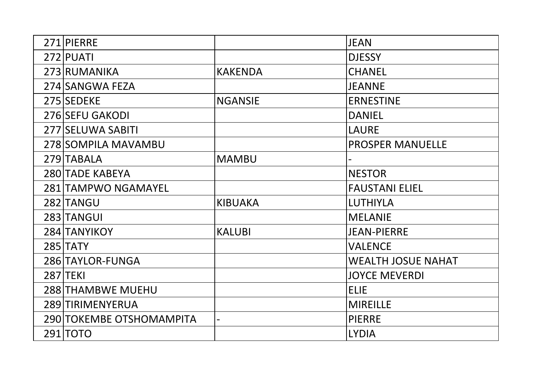| 271 PIERRE               |                | <b>JEAN</b>               |
|--------------------------|----------------|---------------------------|
| 272 PUATI                |                | <b>DJESSY</b>             |
| 273 RUMANIKA             | <b>KAKENDA</b> | <b>CHANEL</b>             |
| 274 SANGWA FEZA          |                | <b>JEANNE</b>             |
| 275 SEDEKE               | <b>NGANSIE</b> | <b>ERNESTINE</b>          |
| 276 SEFU GAKODI          |                | <b>DANIEL</b>             |
| 277 SELUWA SABITI        |                | <b>LAURE</b>              |
| 278 SOMPILA MAVAMBU      |                | <b>PROSPER MANUELLE</b>   |
| 279 TABALA               | <b>MAMBU</b>   |                           |
| <b>280 TADE KABEYA</b>   |                | <b>NESTOR</b>             |
| 281 TAMPWO NGAMAYEL      |                | <b>FAUSTANI ELIEL</b>     |
| 282 TANGU                | <b>KIBUAKA</b> | <b>LUTHIYLA</b>           |
| 283 TANGUI               |                | <b>MELANIE</b>            |
| 284 TANYIKOY             | <b>KALUBI</b>  | <b>JEAN-PIERRE</b>        |
| <b>285 TATY</b>          |                | <b>VALENCE</b>            |
| 286 TAYLOR-FUNGA         |                | <b>WEALTH JOSUE NAHAT</b> |
| <b>287 TEKI</b>          |                | <b>JOYCE MEVERDI</b>      |
| <b>288 THAMBWE MUEHU</b> |                | <b>ELIE</b>               |
| 289 TIRIMENYERUA         |                | <b>MIREILLE</b>           |
| 290 TOKEMBE OTSHOMAMPITA |                | <b>PIERRE</b>             |
| 291 TOTO                 |                | <b>LYDIA</b>              |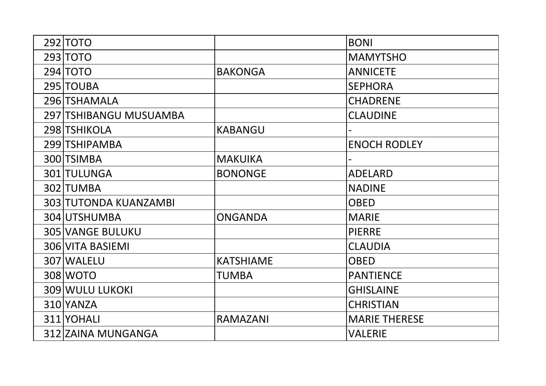| 292 TOTO                |                  | <b>BONI</b>          |
|-------------------------|------------------|----------------------|
| 293 TOTO                |                  | <b>MAMYTSHO</b>      |
| 294 TOTO                | <b>BAKONGA</b>   | <b>ANNICETE</b>      |
| 295 TOUBA               |                  | <b>SEPHORA</b>       |
| 296 TSHAMALA            |                  | <b>CHADRENE</b>      |
| 297 TSHIBANGU MUSUAMBA  |                  | <b>CLAUDINE</b>      |
| 298 TSHIKOLA            | <b>KABANGU</b>   |                      |
| 299 TSHIPAMBA           |                  | <b>ENOCH RODLEY</b>  |
| 300 TSIMBA              | <b>MAKUIKA</b>   |                      |
| 301 TULUNGA             | <b>BONONGE</b>   | <b>ADELARD</b>       |
| 302 TUMBA               |                  | <b>NADINE</b>        |
| 303 TUTONDA KUANZAMBI   |                  | <b>OBED</b>          |
| 304 UTSHUMBA            | <b>ONGANDA</b>   | <b>MARIE</b>         |
| <b>305 VANGE BULUKU</b> |                  | <b>PIERRE</b>        |
| <b>306 VITA BASIEMI</b> |                  | <b>CLAUDIA</b>       |
| 307 WALELU              | <b>KATSHIAME</b> | <b>OBED</b>          |
| 308 WOTO                | TUMBA            | <b>PANTIENCE</b>     |
| <b>309 WULU LUKOKI</b>  |                  | <b>GHISLAINE</b>     |
| 310 YANZA               |                  | <b>CHRISTIAN</b>     |
| 311 YOHALI              | <b>RAMAZANI</b>  | <b>MARIE THERESE</b> |
| 312 ZAINA MUNGANGA      |                  | <b>VALERIE</b>       |